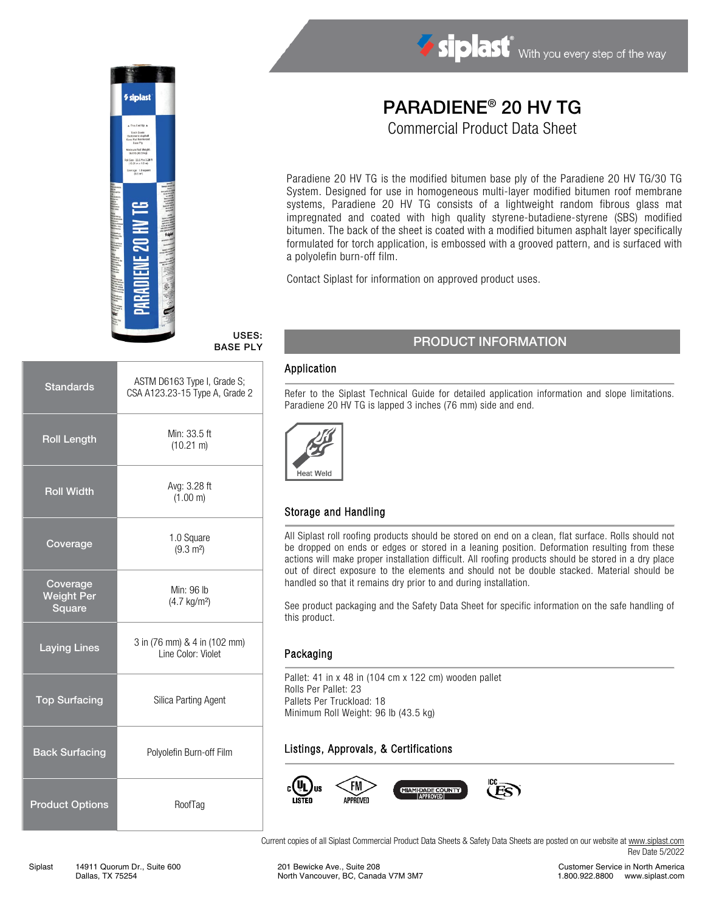

# Siplast With you every step of the way

## PARADIENE® 20 HV TG

Commercial Product Data Sheet

Paradiene 20 HV TG is the modified bitumen base ply of the Paradiene 20 HV TG/30 TG System. Designed for use in homogeneous multi-layer modified bitumen roof membrane systems, Paradiene 20 HV TG consists of a lightweight random fibrous glass mat impregnated and coated with high quality styrene-butadiene-styrene (SBS) modified bitumen. The back of the sheet is coated with a modified bitumen asphalt layer specifically formulated for torch application, is embossed with a grooved pattern, and is surfaced with a polyolefin burn-off film.

Contact Siplast for information on approved product uses.

#### USES: BASE PLY

| <b>Standards</b>                        | ASTM D6163 Type I, Grade S;<br>CSA A123.23-15 Type A, Grade 2 |  |
|-----------------------------------------|---------------------------------------------------------------|--|
| <b>Roll Length</b>                      | Min: 33.5 ft<br>$(10.21 \text{ m})$                           |  |
| <b>Roll Width</b>                       | Avg: 3.28 ft<br>(1.00 m)                                      |  |
| Coverage                                | 1.0 Square<br>$(9.3 \text{ m}^2)$                             |  |
| Coverage<br><b>Weight Per</b><br>Square | Min: 96 lb<br>$(4.7 \text{ kg/m}^2)$                          |  |
| <b>Laying Lines</b>                     | 3 in (76 mm) & 4 in (102 mm)<br>Line Color: Violet            |  |
| <b>Top Surfacing</b>                    | Silica Parting Agent                                          |  |
| <b>Back Surfacing</b>                   | Polyolefin Burn-off Film                                      |  |
| <b>Product Options</b>                  | RoofTag                                                       |  |

#### PRODUCT INFORMATION

#### Application

Refer to the Siplast Technical Guide for detailed application information and slope limitations. Paradiene 20 HV TG is lapped 3 inches (76 mm) side and end.



#### Storage and Handling

All Siplast roll roofing products should be stored on end on a clean, flat surface. Rolls should not be dropped on ends or edges or stored in a leaning position. Deformation resulting from these actions will make proper installation difficult. All roofing products should be stored in a dry place out of direct exposure to the elements and should not be double stacked. Material should be handled so that it remains dry prior to and during installation.

See product packaging and the Safety Data Sheet for specific information on the safe handling of this product.

#### Packaging

Pallet: 41 in x 48 in (104 cm x 122 cm) wooden pallet Rolls Per Pallet: 23 Pallets Per Truckload: 18 Minimum Roll Weight: 96 lb (43.5 kg)

### Listings, Approvals, & Certifications



Current copies of all Siplast Commercial Product Data Sheets & Safety Data Sheets are posted on our website a[t www.siplast.com](http://www.siplast.com/) Rev Date 5/2022

Customer Service in North America 1.800.922.8800 www.siplast.com